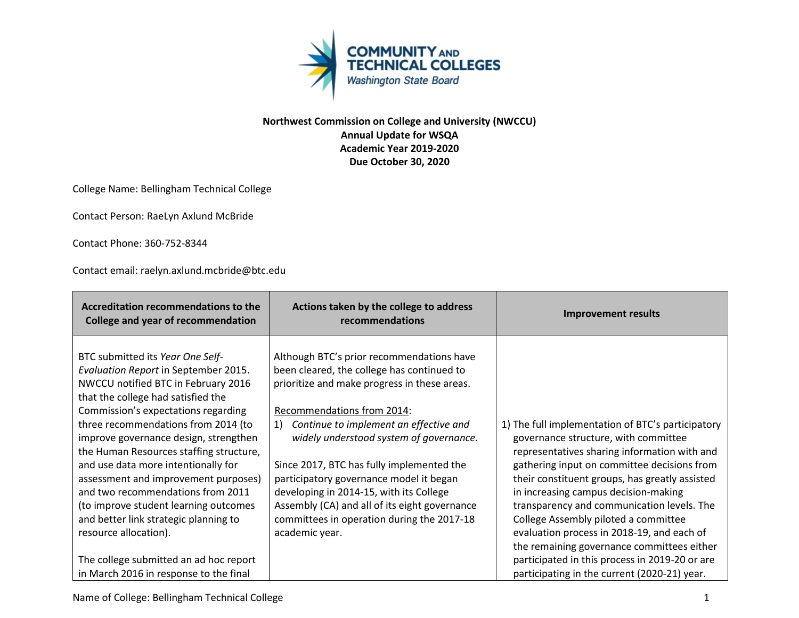

## **Northwest Commission on College and University (NWCCU) Annual Update for WSQA Academic Year 2019-2020 Due October 30, 2020**

College Name: Bellingham Technical College

Contact Person: RaeLyn Axlund McBride

Contact Phone: 360-752-8344

Contact email: raelyn.axlund.mcbride@btc.edu

| <b>Accreditation recommendations to the</b><br><b>College and year of recommendation</b>                                                                                                                                                                                                                                                                                                                                                                                                                                                                                                                                                   | Actions taken by the college to address<br>recommendations                                                                                                                                                                                                                                                                                                                                                                                                                                                           | <b>Improvement results</b>                                                                                                                                                                                                                                                                                                                                                                                                                                                                                                                                             |
|--------------------------------------------------------------------------------------------------------------------------------------------------------------------------------------------------------------------------------------------------------------------------------------------------------------------------------------------------------------------------------------------------------------------------------------------------------------------------------------------------------------------------------------------------------------------------------------------------------------------------------------------|----------------------------------------------------------------------------------------------------------------------------------------------------------------------------------------------------------------------------------------------------------------------------------------------------------------------------------------------------------------------------------------------------------------------------------------------------------------------------------------------------------------------|------------------------------------------------------------------------------------------------------------------------------------------------------------------------------------------------------------------------------------------------------------------------------------------------------------------------------------------------------------------------------------------------------------------------------------------------------------------------------------------------------------------------------------------------------------------------|
| BTC submitted its Year One Self-<br>Evaluation Report in September 2015.<br>NWCCU notified BTC in February 2016<br>that the college had satisfied the<br>Commission's expectations regarding<br>three recommendations from 2014 (to<br>improve governance design, strengthen<br>the Human Resources staffing structure,<br>and use data more intentionally for<br>assessment and improvement purposes)<br>and two recommendations from 2011<br>(to improve student learning outcomes<br>and better link strategic planning to<br>resource allocation).<br>The college submitted an ad hoc report<br>in March 2016 in response to the final | Although BTC's prior recommendations have<br>been cleared, the college has continued to<br>prioritize and make progress in these areas.<br>Recommendations from 2014:<br>1)<br>Continue to implement an effective and<br>widely understood system of governance.<br>Since 2017, BTC has fully implemented the<br>participatory governance model it began<br>developing in 2014-15, with its College<br>Assembly (CA) and all of its eight governance<br>committees in operation during the 2017-18<br>academic year. | 1) The full implementation of BTC's participatory<br>governance structure, with committee<br>representatives sharing information with and<br>gathering input on committee decisions from<br>their constituent groups, has greatly assisted<br>in increasing campus decision-making<br>transparency and communication levels. The<br>College Assembly piloted a committee<br>evaluation process in 2018-19, and each of<br>the remaining governance committees either<br>participated in this process in 2019-20 or are<br>participating in the current (2020-21) year. |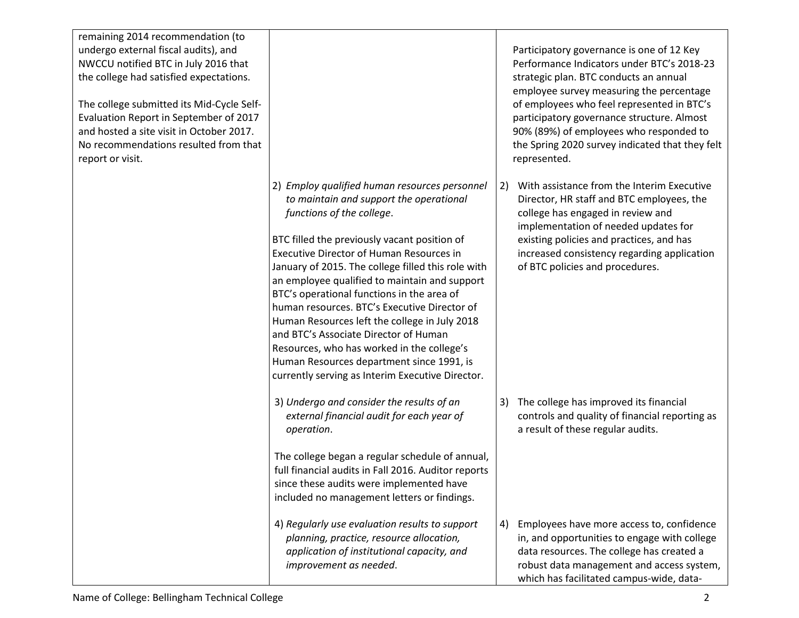| remaining 2014 recommendation (to<br>undergo external fiscal audits), and<br>NWCCU notified BTC in July 2016 that<br>the college had satisfied expectations.<br>The college submitted its Mid-Cycle Self-<br>Evaluation Report in September of 2017<br>and hosted a site visit in October 2017.<br>No recommendations resulted from that<br>report or visit. |                                                                                                                                                                                                                                                                                                                                                                                                                                                                                                                                                                                                                                                                        | Participatory governance is one of 12 Key<br>Performance Indicators under BTC's 2018-23<br>strategic plan. BTC conducts an annual<br>employee survey measuring the percentage<br>of employees who feel represented in BTC's<br>participatory governance structure. Almost<br>90% (89%) of employees who responded to<br>the Spring 2020 survey indicated that they felt<br>represented. |
|--------------------------------------------------------------------------------------------------------------------------------------------------------------------------------------------------------------------------------------------------------------------------------------------------------------------------------------------------------------|------------------------------------------------------------------------------------------------------------------------------------------------------------------------------------------------------------------------------------------------------------------------------------------------------------------------------------------------------------------------------------------------------------------------------------------------------------------------------------------------------------------------------------------------------------------------------------------------------------------------------------------------------------------------|-----------------------------------------------------------------------------------------------------------------------------------------------------------------------------------------------------------------------------------------------------------------------------------------------------------------------------------------------------------------------------------------|
|                                                                                                                                                                                                                                                                                                                                                              | 2) Employ qualified human resources personnel<br>to maintain and support the operational<br>functions of the college.<br>BTC filled the previously vacant position of<br><b>Executive Director of Human Resources in</b><br>January of 2015. The college filled this role with<br>an employee qualified to maintain and support<br>BTC's operational functions in the area of<br>human resources. BTC's Executive Director of<br>Human Resources left the college in July 2018<br>and BTC's Associate Director of Human<br>Resources, who has worked in the college's<br>Human Resources department since 1991, is<br>currently serving as Interim Executive Director. | With assistance from the Interim Executive<br>2)<br>Director, HR staff and BTC employees, the<br>college has engaged in review and<br>implementation of needed updates for<br>existing policies and practices, and has<br>increased consistency regarding application<br>of BTC policies and procedures.                                                                                |
|                                                                                                                                                                                                                                                                                                                                                              | 3) Undergo and consider the results of an<br>external financial audit for each year of<br>operation.<br>The college began a regular schedule of annual,<br>full financial audits in Fall 2016. Auditor reports<br>since these audits were implemented have<br>included no management letters or findings.                                                                                                                                                                                                                                                                                                                                                              | The college has improved its financial<br>3)<br>controls and quality of financial reporting as<br>a result of these regular audits.                                                                                                                                                                                                                                                     |
|                                                                                                                                                                                                                                                                                                                                                              | 4) Regularly use evaluation results to support<br>planning, practice, resource allocation,<br>application of institutional capacity, and<br>improvement as needed.                                                                                                                                                                                                                                                                                                                                                                                                                                                                                                     | Employees have more access to, confidence<br>4)<br>in, and opportunities to engage with college<br>data resources. The college has created a<br>robust data management and access system,<br>which has facilitated campus-wide, data-                                                                                                                                                   |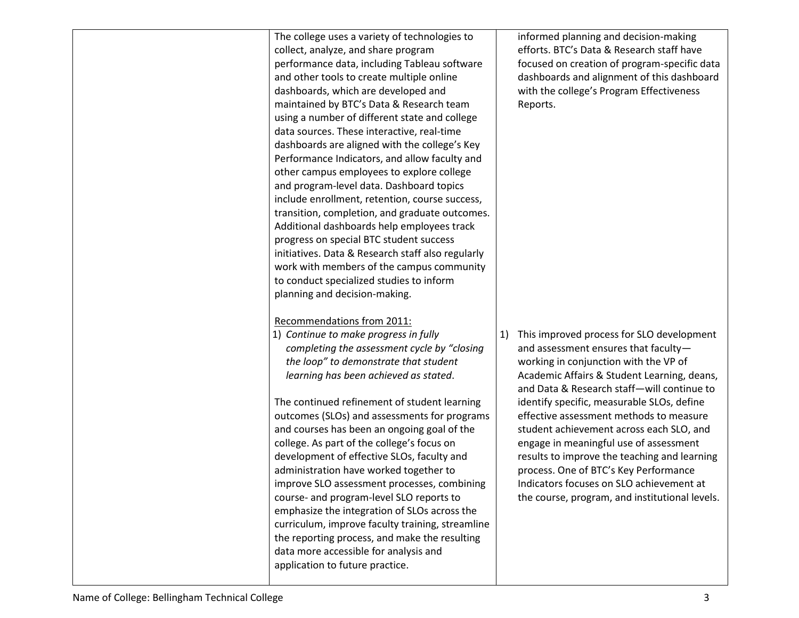| The college uses a variety of technologies to<br>collect, analyze, and share program<br>performance data, including Tableau software<br>and other tools to create multiple online<br>dashboards, which are developed and<br>maintained by BTC's Data & Research team<br>using a number of different state and college<br>data sources. These interactive, real-time<br>dashboards are aligned with the college's Key<br>Performance Indicators, and allow faculty and<br>other campus employees to explore college<br>and program-level data. Dashboard topics<br>include enrollment, retention, course success,<br>transition, completion, and graduate outcomes.<br>Additional dashboards help employees track<br>progress on special BTC student success<br>initiatives. Data & Research staff also regularly<br>work with members of the campus community<br>to conduct specialized studies to inform<br>planning and decision-making. | informed planning and decision-making<br>efforts. BTC's Data & Research staff have<br>focused on creation of program-specific data<br>dashboards and alignment of this dashboard<br>with the college's Program Effectiveness<br>Reports.                                                                                                                                                                                                                                                                                                                                                            |
|--------------------------------------------------------------------------------------------------------------------------------------------------------------------------------------------------------------------------------------------------------------------------------------------------------------------------------------------------------------------------------------------------------------------------------------------------------------------------------------------------------------------------------------------------------------------------------------------------------------------------------------------------------------------------------------------------------------------------------------------------------------------------------------------------------------------------------------------------------------------------------------------------------------------------------------------|-----------------------------------------------------------------------------------------------------------------------------------------------------------------------------------------------------------------------------------------------------------------------------------------------------------------------------------------------------------------------------------------------------------------------------------------------------------------------------------------------------------------------------------------------------------------------------------------------------|
| Recommendations from 2011:<br>1) Continue to make progress in fully<br>completing the assessment cycle by "closing<br>the loop" to demonstrate that student<br>learning has been achieved as stated.<br>The continued refinement of student learning<br>outcomes (SLOs) and assessments for programs<br>and courses has been an ongoing goal of the<br>college. As part of the college's focus on<br>development of effective SLOs, faculty and<br>administration have worked together to<br>improve SLO assessment processes, combining<br>course- and program-level SLO reports to<br>emphasize the integration of SLOs across the<br>curriculum, improve faculty training, streamline<br>the reporting process, and make the resulting<br>data more accessible for analysis and<br>application to future practice.                                                                                                                      | This improved process for SLO development<br>1)<br>and assessment ensures that faculty-<br>working in conjunction with the VP of<br>Academic Affairs & Student Learning, deans,<br>and Data & Research staff-will continue to<br>identify specific, measurable SLOs, define<br>effective assessment methods to measure<br>student achievement across each SLO, and<br>engage in meaningful use of assessment<br>results to improve the teaching and learning<br>process. One of BTC's Key Performance<br>Indicators focuses on SLO achievement at<br>the course, program, and institutional levels. |